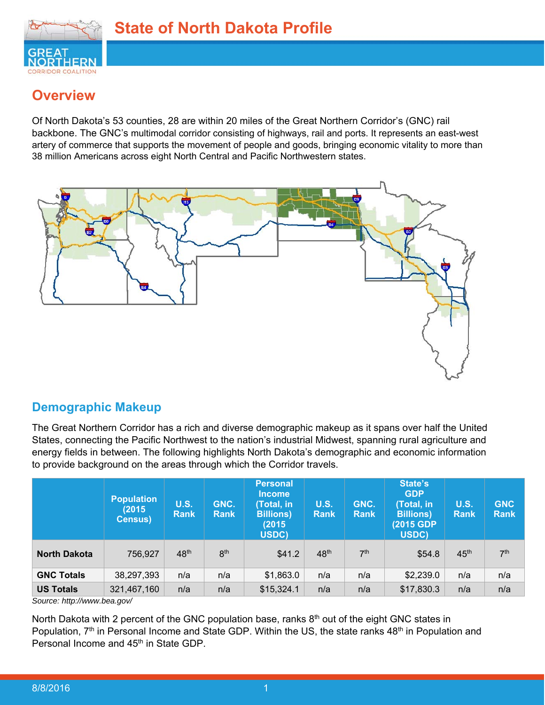

## **Overview**

Of North Dakota's 53 counties, 28 are within 20 miles of the Great Northern Corridor's (GNC) rail backbone. The GNC's multimodal corridor consisting of highways, rail and ports. It represents an east-west artery of commerce that supports the movement of people and goods, bringing economic vitality to more than 38 million Americans across eight North Central and Pacific Northwestern states.



## **Demographic Makeup**

The Great Northern Corridor has a rich and diverse demographic makeup as it spans over half the United States, connecting the Pacific Northwest to the nation's industrial Midwest, spanning rural agriculture and energy fields in between. The following highlights North Dakota's demographic and economic information to provide background on the areas through which the Corridor travels.

|                     | <b>Population</b><br>(2015)<br><b>Census)</b> | <b>U.S.</b><br><b>Rank</b> | GNC.<br><b>Rank</b> | <b>Personal</b><br><b>Income</b><br>Total, in<br><b>Billions</b> )<br>(2015<br>USDC) | <b>U.S.</b><br><b>Rank</b> | GNC.<br><b>Rank</b> | State's<br><b>GDP</b><br>(Total, in<br><b>Billions</b> )<br>(2015 GDP)<br>USDC) | <b>U.S.</b><br><b>Rank</b> | <b>GNC</b><br><b>Rank</b> |
|---------------------|-----------------------------------------------|----------------------------|---------------------|--------------------------------------------------------------------------------------|----------------------------|---------------------|---------------------------------------------------------------------------------|----------------------------|---------------------------|
| <b>North Dakota</b> | 756,927                                       | 48 <sup>th</sup>           | 8 <sup>th</sup>     | \$41.2                                                                               | 48 <sup>th</sup>           | 7 <sup>th</sup>     | \$54.8                                                                          | 45 <sup>th</sup>           | 7 <sup>th</sup>           |
| <b>GNC Totals</b>   | 38,297,393                                    | n/a                        | n/a                 | \$1,863.0                                                                            | n/a                        | n/a                 | \$2,239.0                                                                       | n/a                        | n/a                       |
| <b>US Totals</b>    | 321,467,160                                   | n/a                        | n/a                 | \$15,324.1                                                                           | n/a                        | n/a                 | \$17,830.3                                                                      | n/a                        | n/a                       |

*Source: http://www.bea.gov/* 

North Dakota with 2 percent of the GNC population base, ranks  $8<sup>th</sup>$  out of the eight GNC states in Population,  $7<sup>th</sup>$  in Personal Income and State GDP. Within the US, the state ranks  $48<sup>th</sup>$  in Population and Personal Income and 45<sup>th</sup> in State GDP.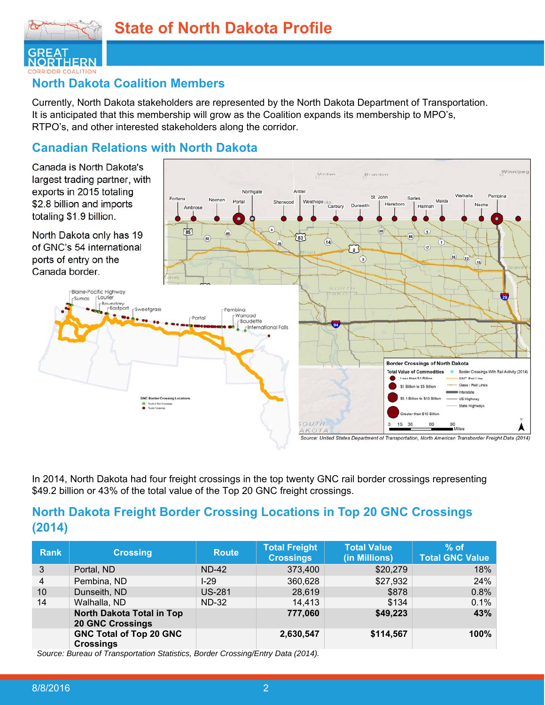

### **North Dakota Coalition Members**

Currently, North Dakota stakeholders are represented by the North Dakota Department of Transportation. It is anticipated that this membership will grow as the Coalition expands its membership to MPO's, RTPO's, and other interested stakeholders along the corridor.

## **Canadian Relations with North Dakota**



In 2014, North Dakota had four freight crossings in the top twenty GNC rail border crossings representing \$49.2 billion or 43% of the total value of the Top 20 GNC freight crossings.

### **North Dakota Freight Border Crossing Locations in Top 20 GNC Crossings (2014)**

| <b>Rank</b>    | <b>Crossing</b>                                      | <b>Route</b>  | <b>Total Freight</b><br><b>Crossings</b> | <b>Total Value</b><br>(in Millions) | $%$ of<br><b>Total GNC Value</b> |
|----------------|------------------------------------------------------|---------------|------------------------------------------|-------------------------------------|----------------------------------|
| 3              | Portal, ND                                           | <b>ND-42</b>  | 373,400                                  | \$20,279                            | 18%                              |
| $\overline{4}$ | Pembina, ND                                          | L29           | 360,628                                  | \$27,932                            | 24%                              |
| 10             | Dunseith, ND                                         | <b>US-281</b> | 28,619                                   | \$878                               | 0.8%                             |
| 14             | Walhalla, ND                                         | <b>ND-32</b>  | 14,413                                   | \$134                               | 0.1%                             |
|                | North Dakota Total in Top<br><b>20 GNC Crossings</b> |               | 777,060                                  | \$49,223                            | 43%                              |
|                | <b>GNC Total of Top 20 GNC</b><br><b>Crossings</b>   |               | 2,630,547                                | \$114,567                           | 100%                             |

*Source: Bureau of Transportation Statistics, Border Crossing/Entry Data (2014).*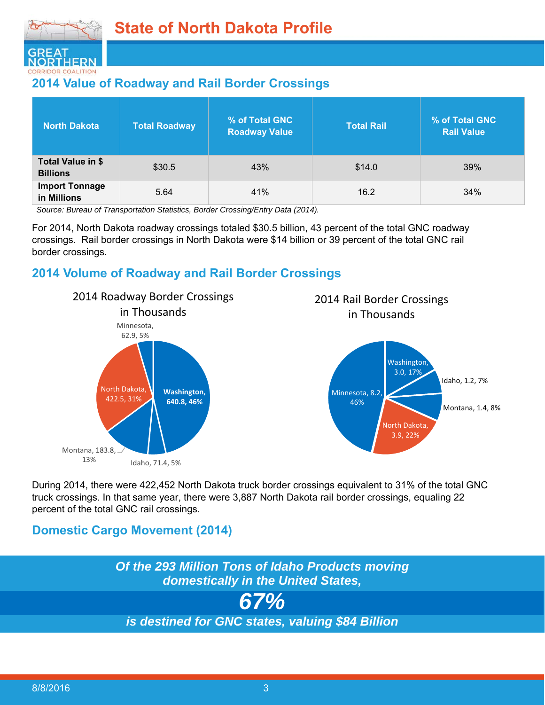

## **2014 Value of Roadway and Rail Border Crossings**

| <b>North Dakota</b>                  | <b>Total Roadway</b> | <b>% of Total GNC</b><br><b>Roadway Value</b> | <b>Total Rail</b> | % of Total GNC<br><b>Rail Value</b> |
|--------------------------------------|----------------------|-----------------------------------------------|-------------------|-------------------------------------|
| Total Value in \$<br><b>Billions</b> | \$30.5               | 43%                                           | \$14.0            | 39%                                 |
| <b>Import Tonnage</b><br>in Millions | 5.64                 | 41%                                           | 16.2              | 34%                                 |

*Source: Bureau of Transportation Statistics, Border Crossing/Entry Data (2014).* 

For 2014, North Dakota roadway crossings totaled \$30.5 billion, 43 percent of the total GNC roadway crossings. Rail border crossings in North Dakota were \$14 billion or 39 percent of the total GNC rail border crossings.

### **2014 Volume of Roadway and Rail Border Crossings**



## 2014 Rail Border Crossings in Thousands



During 2014, there were 422,452 North Dakota truck border crossings equivalent to 31% of the total GNC truck crossings. In that same year, there were 3,887 North Dakota rail border crossings, equaling 22 percent of the total GNC rail crossings.

## **Domestic Cargo Movement (2014)**

*Of the 293 Million Tons of Idaho Products moving domestically in the United States, 67% is destined for GNC states, valuing \$84 Billion*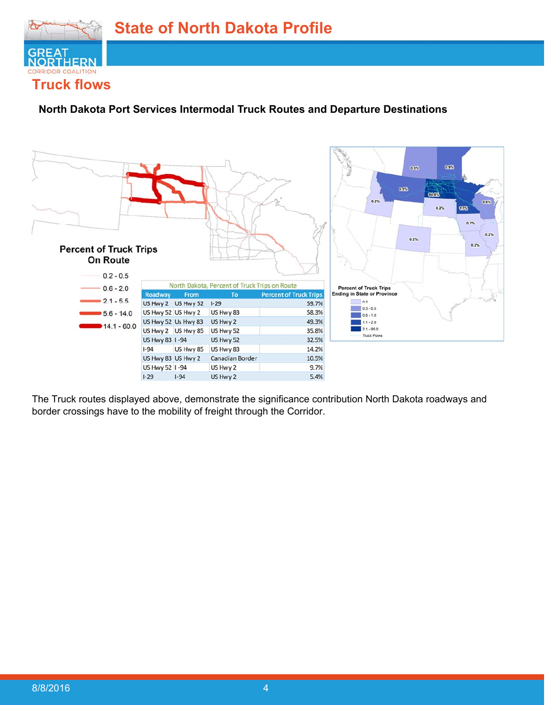

#### **North Dakota Port Services Intermodal Truck Routes and Departure Destinations**



The Truck routes displayed above, demonstrate the significance contribution North Dakota roadways and border crossings have to the mobility of freight through the Corridor.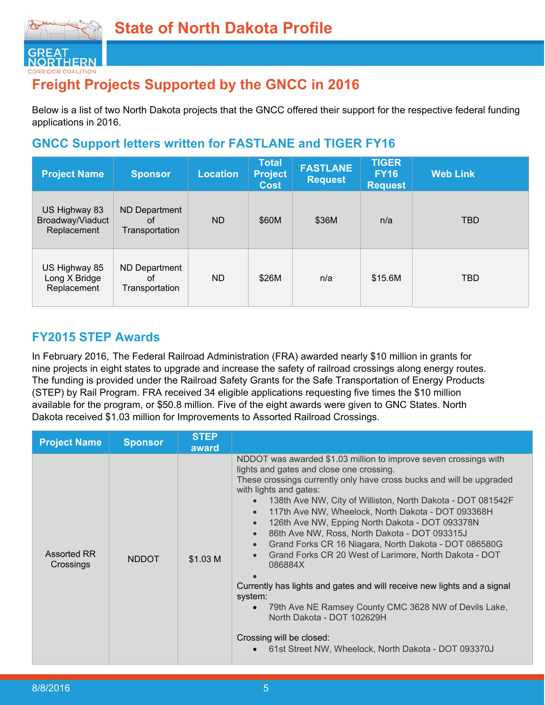

# **Freight Projects Supported by the GNCC in 2016**

Below is a list of two North Dakota projects that the GNCC offered their support for the respective federal funding applications in 2016.

## **GNCC Support letters written for FASTLANE and TIGER FY16**

| <b>Project Name</b>                              | <b>Sponsor</b>                        | Location | <b>Total</b><br><b>Project</b><br><b>Cost</b> | <b>FASTLANE</b><br><b>Request</b> | <b>TIGER</b><br><b>FY16</b><br><b>Request</b> | <b>Web Link</b> |
|--------------------------------------------------|---------------------------------------|----------|-----------------------------------------------|-----------------------------------|-----------------------------------------------|-----------------|
| US Highway 83<br>Broadway/Viaduct<br>Replacement | ND Department<br>οt<br>Transportation | ND       | \$60M                                         | \$36M                             | n/a                                           | <b>TBD</b>      |
| US Highway 85<br>Long X Bridge<br>Replacement    | ND Department<br>οf<br>Transportation | ND.      | \$26M                                         | n/a                               | \$15.6M                                       | <b>TBD</b>      |

## **FY2015 STEP Awards**

In February 2016, The Federal Railroad Administration (FRA) awarded nearly \$10 million in grants for nine projects in eight states to upgrade and increase the safety of railroad crossings along energy routes. The funding is provided under the Railroad Safety Grants for the Safe Transportation of Energy Products (STEP) by Rail Program. FRA received 34 eligible applications requesting five times the \$10 million available for the program, or \$50.8 million. Five of the eight awards were given to GNC States. North Dakota received \$1.03 million for Improvements to Assorted Railroad Crossings.

| <b>Project Name</b>      | <b>Sponsor</b> | <b>STEP</b><br>award |                                                                                                                                                                                                                                                                                                                                                                                                                                                                                                                                                                                                                                                                                                                                                                                                                                        |
|--------------------------|----------------|----------------------|----------------------------------------------------------------------------------------------------------------------------------------------------------------------------------------------------------------------------------------------------------------------------------------------------------------------------------------------------------------------------------------------------------------------------------------------------------------------------------------------------------------------------------------------------------------------------------------------------------------------------------------------------------------------------------------------------------------------------------------------------------------------------------------------------------------------------------------|
| Assorted RR<br>Crossings | <b>NDDOT</b>   | \$1.03 M             | NDDOT was awarded \$1.03 million to improve seven crossings with<br>lights and gates and close one crossing.<br>These crossings currently only have cross bucks and will be upgraded<br>with lights and gates:<br>138th Ave NW, City of Williston, North Dakota - DOT 081542F<br>117th Ave NW, Wheelock, North Dakota - DOT 093368H<br>126th Ave NW, Epping North Dakota - DOT 093378N<br>86th Ave NW, Ross, North Dakota - DOT 093315J<br>Grand Forks CR 16 Niagara, North Dakota - DOT 086580G<br>Grand Forks CR 20 West of Larimore, North Dakota - DOT<br>086884X<br>Currently has lights and gates and will receive new lights and a signal<br>system:<br>79th Ave NE Ramsey County CMC 3628 NW of Devils Lake,<br>North Dakota - DOT 102629H<br>Crossing will be closed:<br>61st Street NW, Wheelock, North Dakota - DOT 093370J |